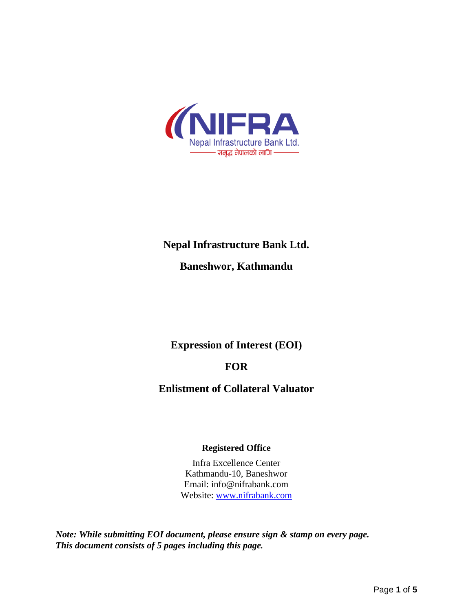

# **Nepal Infrastructure Bank Ltd.**

# **Baneshwor, Kathmandu**

**Expression of Interest (EOI)**

## **FOR**

**Enlistment of Collateral Valuator**

### **Registered Office**

Infra Excellence Center Kathmandu-10, Baneshwor Email: info@nifrabank.com Website: [www.nifrabank.com](http://www.nifrabank.com/)

*Note: While submitting EOI document, please ensure sign & stamp on every page. This document consists of 5 pages including this page.*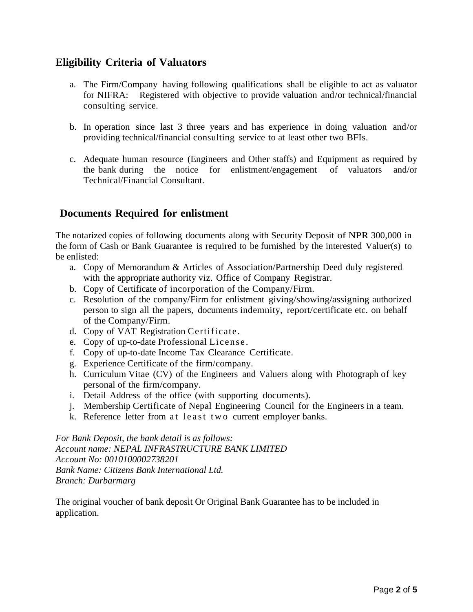## **Eligibility Criteria of Valuators**

- a. The Firm/Company having following qualifications shall be eligible to act as valuator for NIFRA: Registered with objective to provide valuation and/or technical/financial consulting service.
- b. In operation since last 3 three years and has experience in doing valuation and/or providing technical/financial consulting service to at least other two BFIs.
- c. Adequate human resource (Engineers and Other staffs) and Equipment as required by the bank during the notice for enlistment/engagement of valuators and/or Technical/Financial Consultant.

### **Documents Required for enlistment**

The notarized copies of following documents along with Security Deposit of NPR 300,000 in the form of Cash or Bank Guarantee is required to be furnished by the interested Valuer(s) to be enlisted:

- a. Copy of Memorandum & Articles of Association/Partnership Deed duly registered with the appropriate authority viz. Office of Company Registrar.
- b. Copy of Certificate of incorporation of the Company/Firm.
- c. Resolution of the company/Firm for enlistment giving/showing/assigning authorized person to sign all the papers, documents indemnity, report/certificate etc. on behalf of the Company/Firm.
- d. Copy of VAT Registration Certificate.
- e. Copy of up-to-date Professional License .
- f. Copy of up-to-date Income Tax Clearance Certificate.
- g. Experience Certificate of the firm/company.
- h. Curriculum Vitae (CV) of the Engineers and Valuers along with Photograph of key personal of the firm/company.
- i. Detail Address of the office (with supporting documents).
- j. Membership Certificate of Nepal Engineering Council for the Engineers in a team.
- k. Reference letter from at least two current employer banks.

*For Bank Deposit, the bank detail is as follows: Account name: NEPAL INFRASTRUCTURE BANK LIMITED Account No: 0010100002738201 Bank Name: Citizens Bank International Ltd. Branch: Durbarmarg* 

The original voucher of bank deposit Or Original Bank Guarantee has to be included in application.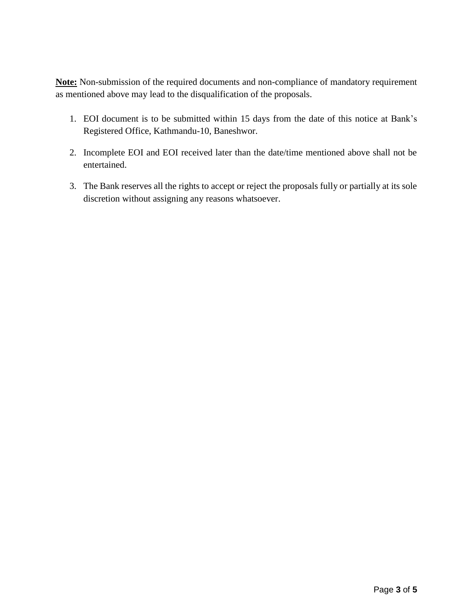**Note:** Non-submission of the required documents and non-compliance of mandatory requirement as mentioned above may lead to the disqualification of the proposals.

- 1. EOI document is to be submitted within 15 days from the date of this notice at Bank's Registered Office, Kathmandu-10, Baneshwor.
- 2. Incomplete EOI and EOI received later than the date/time mentioned above shall not be entertained.
- 3. The Bank reserves all the rights to accept or reject the proposals fully or partially at its sole discretion without assigning any reasons whatsoever.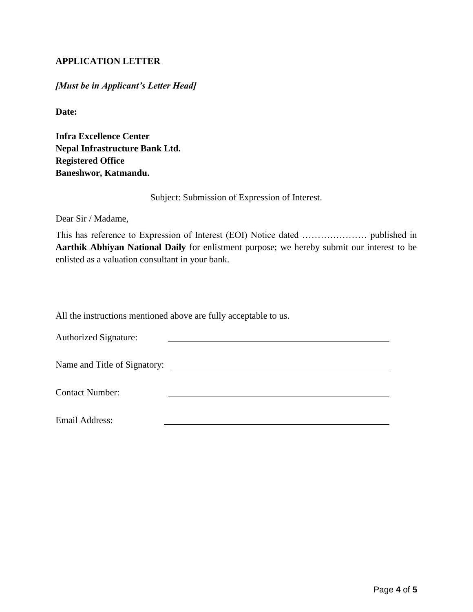### **APPLICATION LETTER**

#### *[Must be in Applicant's Letter Head]*

**Date:** 

**Infra Excellence Center Nepal Infrastructure Bank Ltd. Registered Office Baneshwor, Katmandu.** 

Subject: Submission of Expression of Interest.

Dear Sir / Madame,

This has reference to Expression of Interest (EOI) Notice dated ………………… published in **Aarthik Abhiyan National Daily** for enlistment purpose; we hereby submit our interest to be enlisted as a valuation consultant in your bank.

All the instructions mentioned above are fully acceptable to us.

| <b>Authorized Signature:</b> |  |
|------------------------------|--|
| Name and Title of Signatory: |  |
| <b>Contact Number:</b>       |  |
| Email Address:               |  |